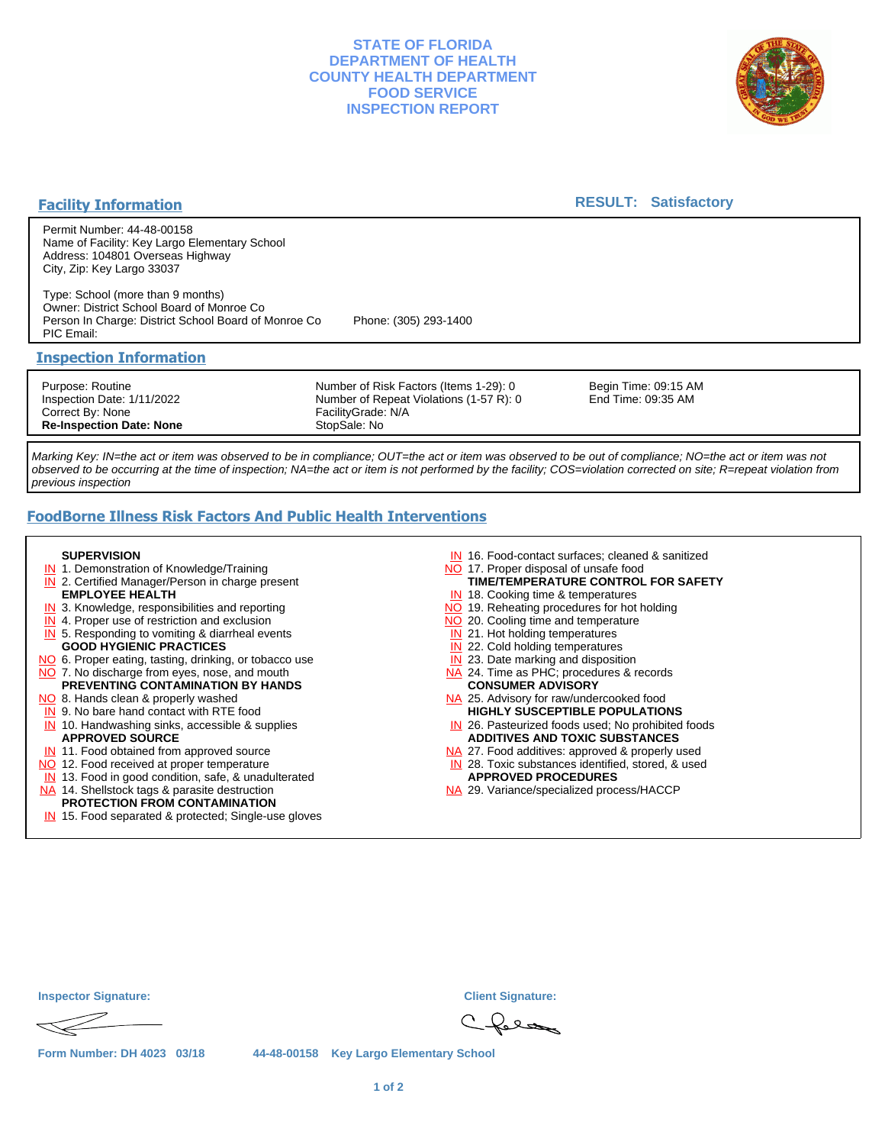## **STATE OF FLORIDA DEPARTMENT OF HEALTH COUNTY HEALTH DEPARTMENT FOOD SERVICE INSPECTION REPORT**



### **Facility Information**

### **RESULT: Satisfactory**

Permit Number: 44-48-00158 Name of Facility: Key Largo Elementary School Address: 104801 Overseas Highway City, Zip: Key Largo 33037

Type: School (more than 9 months) Owner: District School Board of Monroe Co Person In Charge: District School Board of Monroe Co Phone: (305) 293-1400 PIC Email:

### **Inspection Information**

Purpose: Routine Inspection Date: 1/11/2022 Correct By: None **Re-Inspection Date: None**

Number of Risk Factors (Items 1-29): 0 Number of Repeat Violations (1-57 R): 0 FacilityGrade: N/A StopSale: No

Begin Time: 09:15 AM End Time: 09:35 AM

Marking Key: IN=the act or item was observed to be in compliance; OUT=the act or item was observed to be out of compliance; NO=the act or item was not observed to be occurring at the time of inspection; NA=the act or item is not performed by the facility; COS=violation corrected on site; R=repeat violation from previous inspection

# **FoodBorne Illness Risk Factors And Public Health Interventions**

#### **SUPERVISION**

- **IN** 1. Demonstration of Knowledge/Training
- **IN** 2. Certified Manager/Person in charge present **EMPLOYEE HEALTH**
- **IN** 3. Knowledge, responsibilities and reporting
- **IN** 4. Proper use of restriction and exclusion
- **IN** 5. Responding to vomiting & diarrheal events
- **GOOD HYGIENIC PRACTICES**
- NO 6. Proper eating, tasting, drinking, or tobacco use NO 7. No discharge from eyes, nose, and mouth
- **PREVENTING CONTAMINATION BY HANDS**
- NO 8. Hands clean & properly washed
- **IN** 9. No bare hand contact with RTE food IN 10. Handwashing sinks, accessible & supplies **APPROVED SOURCE**
- **IN** 11. Food obtained from approved source
- NO 12. Food received at proper temperature
- IN 13. Food in good condition, safe, & unadulterated
- NA 14. Shellstock tags & parasite destruction

#### **PROTECTION FROM CONTAMINATION**

IN 15. Food separated & protected; Single-use gloves

- IN 16. Food-contact surfaces; cleaned & sanitized
- NO 17. Proper disposal of unsafe food
- IN 18. Cooking time & temperatures **TIME/TEMPERATURE CONTROL FOR SAFETY**
- NO 19. Reheating procedures for hot holding
- NO 20. Cooling time and temperature
- IN 21. Hot holding temperatures
- **IN** 22. Cold holding temperatures
- **IN** 23. Date marking and disposition
- NA 24. Time as PHC; procedures & records **CONSUMER ADVISORY**
- NA 25. Advisory for raw/undercooked food **HIGHLY SUSCEPTIBLE POPULATIONS**
- IN 26. Pasteurized foods used; No prohibited foods **ADDITIVES AND TOXIC SUBSTANCES**
- NA 27. Food additives: approved & properly used
- IN 28. Toxic substances identified, stored, & used **APPROVED PROCEDURES**
- NA 29. Variance/specialized process/HACCP

| <b>Inspector Signature:</b> |  | <b>Client Signature:</b>                |
|-----------------------------|--|-----------------------------------------|
|                             |  | Cfora                                   |
| Form Number: DH 4023 03/18  |  | 44-48-00158 Key Largo Elementary School |